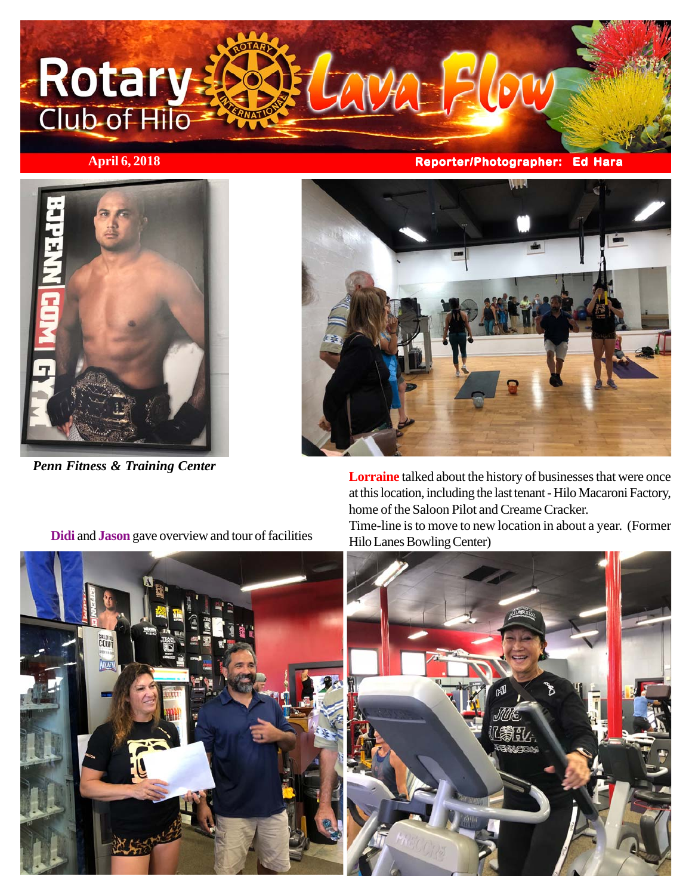

**April 6, 2018 Reporter/Photographer: Ed Hara**



*Penn Fitness & Training Center*



**Lorraine** talked about the history of businesses that were once at this location, including the last tenant - Hilo Macaroni Factory, home of the Saloon Pilot and Creame Cracker.

Time-line is to move to new location in about a year. (Former Hilo Lanes Bowling Center)





**Didi** and **Jason** gave overview and tour of facilities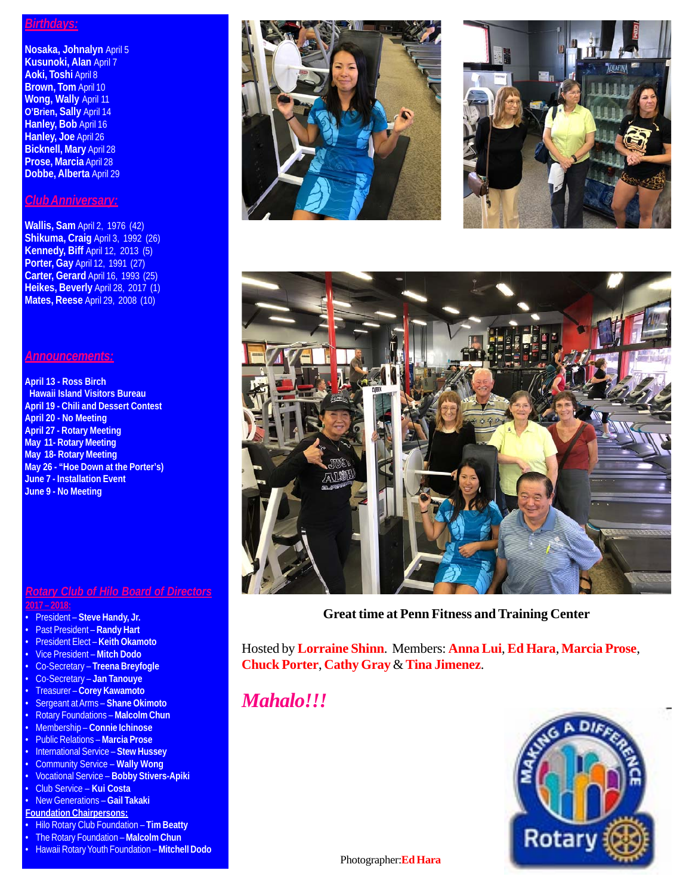### *Birthdays:*

**Nosaka, Johnalyn** April 5 **Kusunoki, Alan** April 7 **Aoki, Toshi** April 8 **Brown, Tom** April 10 **Wong, Wally** April 11 **O'Brien, Sally** April 14 **Hanley, Bob** April 16 **Hanley, Joe** April 26 **Bicknell, Mary** April 28 **Prose, Marcia** April 28 **Dobbe, Alberta** April 29

# *Club Anniversary:*

**Wallis, Sam** April 2, 1976 (42) **Shikuma, Craig** April 3, 1992 (26) **Kennedy, Biff** April 12, 2013 (5) **Porter, Gay** April 12, 1991 (27) **Carter, Gerard** April 16, 1993 (25) **Heikes, Beverly** April 28, 2017 (1) **Mates, Reese** April 29, 2008 (10)

## *Announcements:*

**April 13 - Ross Birch Hawaii Island Visitors Bureau April 19 - Chili and Dessert Contest April 20 - No Meeting April 27 - Rotary Meeting May 11- Rotary Meeting May 18- Rotary Meeting May 26 - "Hoe Down at the Porter's) June 7 - Installation Event June 9 - No Meeting**

### *Rotary Club of Hilo Board of Directors* **2017 – 2018:**

- 
- President **Steve Handy, Jr.**
- Past President **Randy Hart**
- President Elect **Keith Okamoto**
- Vice President **Mitch Dodo**
- Co-Secretary **Treena Breyfogle**
- Co-Secretary **Jan Tanouye** • Treasurer – **Corey Kawamoto**
- Sergeant at Arms **Shane Okimoto**
- Rotary Foundations **Malcolm Chun**
- Membership **Connie Ichinose**
- Public Relations **Marcia Prose**
- International Service **Stew Hussey**
- Community Service **Wally Wong**
- Vocational Service **Bobby Stivers-Apiki**
- Club Service **Kui Costa**
- New Generations **Gail Takaki**
- **Foundation Chairpersons:**
- Hilo Rotary Club Foundation **Tim Beatty**
- The Rotary Foundation **Malcolm Chun**
- Hawaii Rotary Youth Foundation **Mitchell Dodo**







**Great time at Penn Fitness and Training Center**

Hosted by **Lorraine Shinn**. Members: **Anna Lui**, **Ed Hara**, **Marcia Prose**, **Chuck Porter**, **Cathy Gray** & **Tina Jimenez**.

*Mahalo!!!*



Photographer:**Ed Hara**